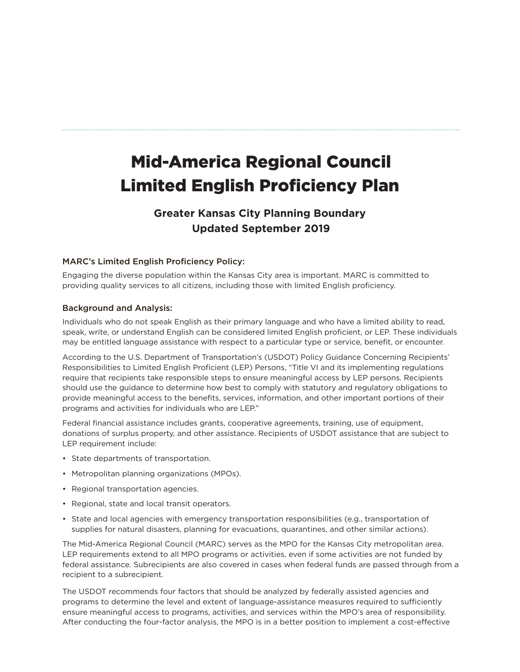# Mid-America Regional Council Limited English Proficiency Plan

## **Greater Kansas City Planning Boundary Updated September 2019**

#### MARC's Limited English Proficiency Policy:

Engaging the diverse population within the Kansas City area is important. MARC is committed to providing quality services to all citizens, including those with limited English proficiency.

#### Background and Analysis:

Individuals who do not speak English as their primary language and who have a limited ability to read, speak, write, or understand English can be considered limited English proficient, or LEP. These individuals may be entitled language assistance with respect to a particular type or service, benefit, or encounter.

According to the U.S. Department of Transportation's (USDOT) Policy Guidance Concerning Recipients' Responsibilities to Limited English Proficient (LEP) Persons, "Title VI and its implementing regulations require that recipients take responsible steps to ensure meaningful access by LEP persons. Recipients should use the guidance to determine how best to comply with statutory and regulatory obligations to provide meaningful access to the benefits, services, information, and other important portions of their programs and activities for individuals who are LEP."

Federal financial assistance includes grants, cooperative agreements, training, use of equipment, donations of surplus property, and other assistance. Recipients of USDOT assistance that are subject to LEP requirement include:

- State departments of transportation.
- Metropolitan planning organizations (MPOs).
- Regional transportation agencies.
- Regional, state and local transit operators.
- State and local agencies with emergency transportation responsibilities (e.g., transportation of supplies for natural disasters, planning for evacuations, quarantines, and other similar actions).

The Mid-America Regional Council (MARC) serves as the MPO for the Kansas City metropolitan area. LEP requirements extend to all MPO programs or activities, even if some activities are not funded by federal assistance. Subrecipients are also covered in cases when federal funds are passed through from a recipient to a subrecipient.

The USDOT recommends four factors that should be analyzed by federally assisted agencies and programs to determine the level and extent of language-assistance measures required to sufficiently ensure meaningful access to programs, activities, and services within the MPO's area of responsibility. After conducting the four-factor analysis, the MPO is in a better position to implement a cost-effective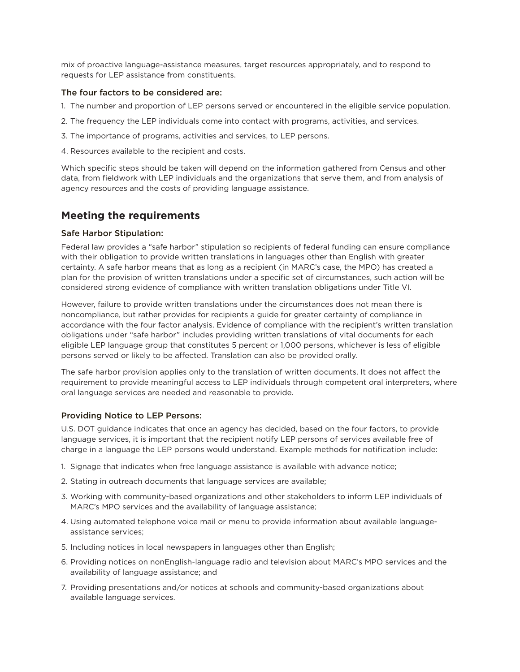mix of proactive language-assistance measures, target resources appropriately, and to respond to requests for LEP assistance from constituents.

#### The four factors to be considered are:

- 1. The number and proportion of LEP persons served or encountered in the eligible service population.
- 2. The frequency the LEP individuals come into contact with programs, activities, and services.
- 3. The importance of programs, activities and services, to LEP persons.
- 4. Resources available to the recipient and costs.

Which specific steps should be taken will depend on the information gathered from Census and other data, from fieldwork with LEP individuals and the organizations that serve them, and from analysis of agency resources and the costs of providing language assistance.

## **Meeting the requirements**

#### Safe Harbor Stipulation:

Federal law provides a "safe harbor" stipulation so recipients of federal funding can ensure compliance with their obligation to provide written translations in languages other than English with greater certainty. A safe harbor means that as long as a recipient (in MARC's case, the MPO) has created a plan for the provision of written translations under a specific set of circumstances, such action will be considered strong evidence of compliance with written translation obligations under Title VI.

However, failure to provide written translations under the circumstances does not mean there is noncompliance, but rather provides for recipients a guide for greater certainty of compliance in accordance with the four factor analysis. Evidence of compliance with the recipient's written translation obligations under "safe harbor" includes providing written translations of vital documents for each eligible LEP language group that constitutes 5 percent or 1,000 persons, whichever is less of eligible persons served or likely to be affected. Translation can also be provided orally.

The safe harbor provision applies only to the translation of written documents. It does not affect the requirement to provide meaningful access to LEP individuals through competent oral interpreters, where oral language services are needed and reasonable to provide.

#### Providing Notice to LEP Persons:

U.S. DOT guidance indicates that once an agency has decided, based on the four factors, to provide language services, it is important that the recipient notify LEP persons of services available free of charge in a language the LEP persons would understand. Example methods for notification include:

- 1. Signage that indicates when free language assistance is available with advance notice;
- 2. Stating in outreach documents that language services are available;
- 3. Working with community-based organizations and other stakeholders to inform LEP individuals of MARC's MPO services and the availability of language assistance;
- 4. Using automated telephone voice mail or menu to provide information about available languageassistance services;
- 5. Including notices in local newspapers in languages other than English;
- 6. Providing notices on nonEnglish-language radio and television about MARC's MPO services and the availability of language assistance; and
- 7. Providing presentations and/or notices at schools and community-based organizations about available language services.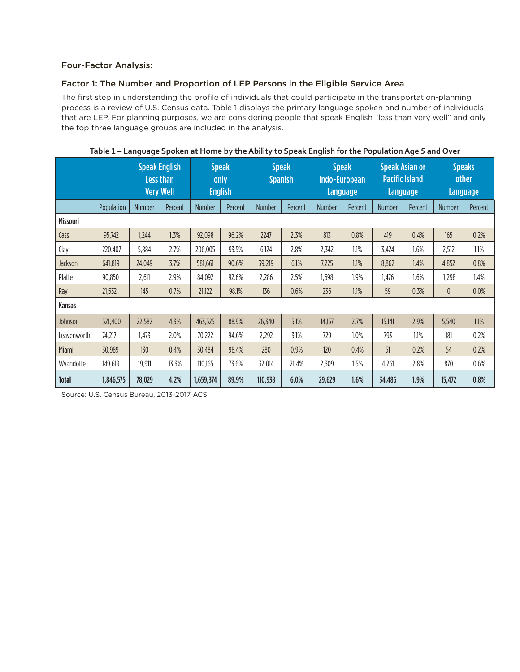#### Four-Factor Analysis:

#### Factor 1: The Number and Proportion of LEP Persons in the Eligible Service Area

The first step in understanding the profile of individuals that could participate in the transportation-planning process is a review of U.S. Census data. Table 1 displays the primary language spoken and number of individuals that are LEP. For planning purposes, we are considering people that speak English "less than very well" and only the top three language groups are included in the analysis.

|                 | <b>Speak English</b><br><b>Less than</b><br><b>Very Well</b> |               | <b>Speak</b><br>only<br><b>English</b> |               | <b>Speak</b><br><b>Spanish</b> |               | <b>Speak</b><br>Indo-European<br>Language |               | <b>Speak Asian or</b><br><b>Pacific Island</b><br>Language |               | <b>Speaks</b><br>other<br><b>Language</b> |               |         |
|-----------------|--------------------------------------------------------------|---------------|----------------------------------------|---------------|--------------------------------|---------------|-------------------------------------------|---------------|------------------------------------------------------------|---------------|-------------------------------------------|---------------|---------|
|                 | Population                                                   | <b>Number</b> | Percent                                | <b>Number</b> | Percent                        | <b>Number</b> | Percent                                   | <b>Number</b> | Percent                                                    | <b>Number</b> | Percent                                   | <b>Number</b> | Percent |
| <b>Missouri</b> |                                                              |               |                                        |               |                                |               |                                           |               |                                                            |               |                                           |               |         |
| Cass            | 95,742                                                       | 1,244         | 1.3%                                   | 92,098        | 96.2%                          | 2247          | 2.3%                                      | 813           | 0.8%                                                       | 419           | 0.4%                                      | 165           | 0.2%    |
| Clay            | 220,407                                                      | 5,884         | 2.7%                                   | 206,005       | 93.5%                          | 6,124         | 2.8%                                      | 2,342         | 1.1%                                                       | 3,424         | 1.6%                                      | 2,512         | 1.1%    |
| Jackson         | 641,819                                                      | 24,049        | 3.7%                                   | 581,661       | 90.6%                          | 39,219        | 6.1%                                      | 7,225         | 1.1%                                                       | 8,862         | 1.4%                                      | 4,852         | 0.8%    |
| Platte          | 90,850                                                       | 2,611         | 2.9%                                   | 84,092        | 92.6%                          | 2,286         | 2.5%                                      | 1,698         | 1.9%                                                       | 1,476         | 1.6%                                      | 1,298         | 1.4%    |
| Ray             | 21,532                                                       | 145           | 0.7%                                   | 21,122        | 98.1%                          | 136           | 0.6%                                      | 236           | 1.1%                                                       | 59            | 0.3%                                      | 0             | 0.0%    |
| Kansas          |                                                              |               |                                        |               |                                |               |                                           |               |                                                            |               |                                           |               |         |
| Johnson         | 521,400                                                      | 22,582        | 4.3%                                   | 463,525       | 88.9%                          | 26,340        | 5.1%                                      | 14,157        | 2.7%                                                       | 15,141        | 2.9%                                      | 5,540         | 1.1%    |
| Leavenworth     | 74,217                                                       | 1,473         | 2.0%                                   | 70,222        | 94.6%                          | 2,292         | 3.1%                                      | 729           | 1.0%                                                       | 793           | 1.1%                                      | 181           | 0.2%    |
| Miami           | 30,989                                                       | 130           | 0.4%                                   | 30,484        | 98.4%                          | 280           | 0.9%                                      | 120           | 0.4%                                                       | 51            | 0.2%                                      | 54            | 0.2%    |
| Wyandotte       | 149,619                                                      | 19,911        | 13.3%                                  | 110,165       | 73.6%                          | 32,014        | 21.4%                                     | 2,309         | 1.5%                                                       | 4,261         | 2.8%                                      | 870           | 0.6%    |
| <b>Total</b>    | 1,846,575                                                    | 78,029        | 4.2%                                   | 1,659,374     | 89.9%                          | 110,938       | 6.0%                                      | 29,629        | 1.6%                                                       | 34,486        | 1.9%                                      | 15,472        | 0.8%    |

#### **Table 1 – Language Spoken at Home by the Ability to Speak English for the Population Age 5 and Over**

Source: U.S. Census Bureau, 2013-2017 ACS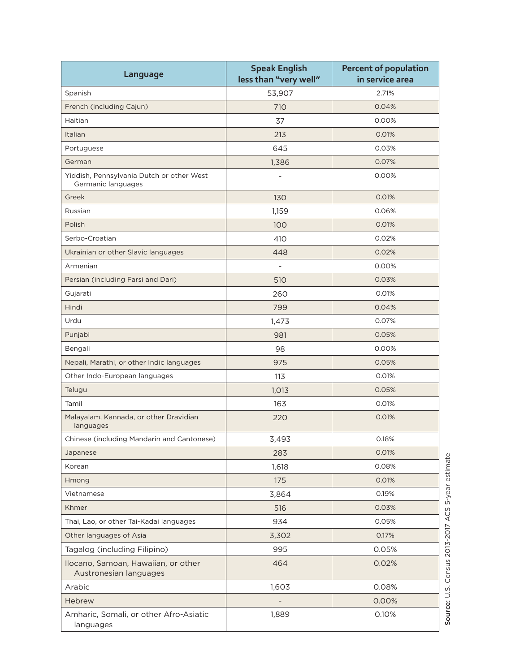| Language                                                        | <b>Speak English</b><br>less than "very well" | <b>Percent of population</b><br>in service area |  |  |
|-----------------------------------------------------------------|-----------------------------------------------|-------------------------------------------------|--|--|
| Spanish                                                         | 53,907                                        | 2.71%                                           |  |  |
| French (including Cajun)                                        | 710                                           | 0.04%                                           |  |  |
| Haitian                                                         | 37                                            | 0.00%                                           |  |  |
| Italian                                                         | 213                                           | 0.01%                                           |  |  |
| Portuguese                                                      | 645                                           | 0.03%                                           |  |  |
| German                                                          | 1,386                                         | 0.07%                                           |  |  |
| Yiddish, Pennsylvania Dutch or other West<br>Germanic languages | $\overline{\phantom{0}}$                      | 0.00%                                           |  |  |
| Greek                                                           | 130                                           | 0.01%                                           |  |  |
| Russian                                                         | 1,159                                         | 0.06%                                           |  |  |
| Polish                                                          | 100                                           | 0.01%                                           |  |  |
| Serbo-Croatian                                                  | 410                                           | 0.02%                                           |  |  |
| Ukrainian or other Slavic languages                             | 448                                           | 0.02%                                           |  |  |
| Armenian                                                        | $\overline{\phantom{m}}$                      | 0.00%                                           |  |  |
| Persian (including Farsi and Dari)                              | 510                                           | 0.03%                                           |  |  |
| Gujarati                                                        | 260                                           | 0.01%                                           |  |  |
| Hindi                                                           | 799                                           | 0.04%                                           |  |  |
| Urdu                                                            | 1,473                                         | 0.07%                                           |  |  |
| Punjabi                                                         | 981                                           | 0.05%                                           |  |  |
| Bengali                                                         | 98                                            | 0.00%                                           |  |  |
| Nepali, Marathi, or other Indic languages                       | 975                                           | 0.05%                                           |  |  |
| Other Indo-European languages                                   | 113                                           | 0.01%                                           |  |  |
| Telugu                                                          | 1,013                                         | 0.05%                                           |  |  |
| Tamil                                                           | 163                                           | 0.01%                                           |  |  |
| Malayalam, Kannada, or other Dravidian<br>languages             | 220                                           | 0.01%                                           |  |  |
| Chinese (including Mandarin and Cantonese)                      | 3,493                                         | 0.18%                                           |  |  |
| Japanese                                                        | 283                                           | 0.01%                                           |  |  |
| Korean                                                          | 1,618                                         | 0.08%                                           |  |  |
| Hmong                                                           | 175                                           | 0.01%                                           |  |  |
| Vietnamese                                                      | 3,864                                         | 0.19%                                           |  |  |
| Khmer                                                           | 516                                           | 0.03%                                           |  |  |
| Thai, Lao, or other Tai-Kadai languages                         | 934                                           | 0.05%                                           |  |  |
| Other languages of Asia                                         | 3,302                                         | 0.17%                                           |  |  |
| Tagalog (including Filipino)                                    | 995                                           | 0.05%                                           |  |  |
| Ilocano, Samoan, Hawaiian, or other<br>Austronesian languages   | 464                                           | 0.02%                                           |  |  |
| Arabic                                                          | 1,603                                         | 0.08%                                           |  |  |
| Hebrew                                                          |                                               | 0.00%                                           |  |  |
| Amharic, Somali, or other Afro-Asiatic<br>languages             | 1,889                                         | 0.10%                                           |  |  |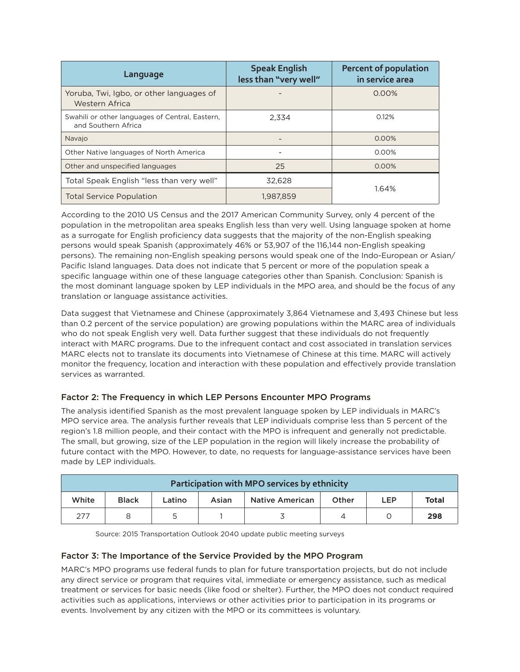| Language                                                               | <b>Speak English</b><br>less than "very well" | <b>Percent of population</b><br>in service area |  |  |
|------------------------------------------------------------------------|-----------------------------------------------|-------------------------------------------------|--|--|
| Yoruba, Twi, Igbo, or other languages of<br>Western Africa             |                                               | $0.00\%$                                        |  |  |
| Swahili or other languages of Central, Eastern,<br>and Southern Africa | 2.334                                         | 0.12%                                           |  |  |
| Navajo                                                                 |                                               | $0.00\%$                                        |  |  |
| Other Native languages of North America                                |                                               | $0.00\%$                                        |  |  |
| Other and unspecified languages                                        | 25                                            | 0.00%                                           |  |  |
| Total Speak English "less than very well"                              | 32.628                                        |                                                 |  |  |
| <b>Total Service Population</b>                                        | 1.987.859                                     | 1.64%                                           |  |  |

According to the 2010 US Census and the 2017 American Community Survey, only 4 percent of the population in the metropolitan area speaks English less than very well. Using language spoken at home as a surrogate for English proficiency data suggests that the majority of the non-English speaking persons would speak Spanish (approximately 46% or 53,907 of the 116,144 non-English speaking persons). The remaining non-English speaking persons would speak one of the Indo-European or Asian/ Pacific Island languages. Data does not indicate that 5 percent or more of the population speak a specific language within one of these language categories other than Spanish. Conclusion: Spanish is the most dominant language spoken by LEP individuals in the MPO area, and should be the focus of any translation or language assistance activities.

Data suggest that Vietnamese and Chinese (approximately 3,864 Vietnamese and 3,493 Chinese but less than 0.2 percent of the service population) are growing populations within the MARC area of individuals who do not speak English very well. Data further suggest that these individuals do not frequently interact with MARC programs. Due to the infrequent contact and cost associated in translation services MARC elects not to translate its documents into Vietnamese of Chinese at this time. MARC will actively monitor the frequency, location and interaction with these population and effectively provide translation services as warranted.

### Factor 2: The Frequency in which LEP Persons Encounter MPO Programs

The analysis identified Spanish as the most prevalent language spoken by LEP individuals in MARC's MPO service area. The analysis further reveals that LEP individuals comprise less than 5 percent of the region's 1.8 million people, and their contact with the MPO is infrequent and generally not predictable. The small, but growing, size of the LEP population in the region will likely increase the probability of future contact with the MPO. However, to date, no requests for language-assistance services have been made by LEP individuals.

| Participation with MPO services by ethnicity |              |        |       |                        |       |     |              |  |  |
|----------------------------------------------|--------------|--------|-------|------------------------|-------|-----|--------------|--|--|
| White                                        | <b>Black</b> | Latino | Asian | <b>Native American</b> | Other | LEP | <b>Total</b> |  |  |
| 277                                          |              |        |       |                        |       |     | 298          |  |  |

Source: 2015 Transportation Outlook 2040 update public meeting surveys

#### Factor 3: The Importance of the Service Provided by the MPO Program

MARC's MPO programs use federal funds to plan for future transportation projects, but do not include any direct service or program that requires vital, immediate or emergency assistance, such as medical treatment or services for basic needs (like food or shelter). Further, the MPO does not conduct required activities such as applications, interviews or other activities prior to participation in its programs or events. Involvement by any citizen with the MPO or its committees is voluntary.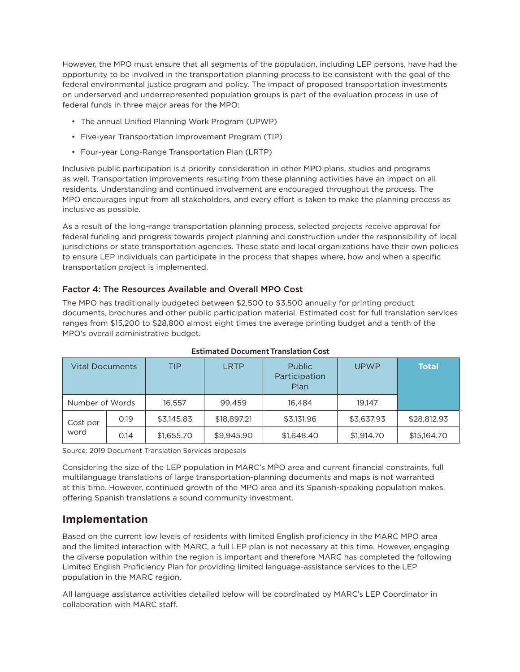However, the MPO must ensure that all segments of the population, including LEP persons, have had the opportunity to be involved in the transportation planning process to be consistent with the goal of the federal environmental justice program and policy. The impact of proposed transportation investments on underserved and underrepresented population groups is part of the evaluation process in use of federal funds in three major areas for the MPO:

- The annual Unified Planning Work Program (UPWP)
- Five-year Transportation Improvement Program (TIP)
- Four-year Long-Range Transportation Plan (LRTP)

Inclusive public participation is a priority consideration in other MPO plans, studies and programs as well. Transportation improvements resulting from these planning activities have an impact on all residents. Understanding and continued involvement are encouraged throughout the process. The MPO encourages input from all stakeholders, and every effort is taken to make the planning process as inclusive as possible.

As a result of the long-range transportation planning process, selected projects receive approval for federal funding and progress towards project planning and construction under the responsibility of local jurisdictions or state transportation agencies. These state and local organizations have their own policies to ensure LEP individuals can participate in the process that shapes where, how and when a specific transportation project is implemented.

#### Factor 4: The Resources Available and Overall MPO Cost

The MPO has traditionally budgeted between \$2,500 to \$3,500 annually for printing product documents, brochures and other public participation material. Estimated cost for full translation services ranges from \$15,200 to \$28,800 almost eight times the average printing budget and a tenth of the MPO's overall administrative budget.

| <b>Vital Documents</b> |      | TIP        | <b>LRTP</b> | <b>Public</b><br>Participation<br>Plan | <b>UPWP</b> | <b>Total</b> |
|------------------------|------|------------|-------------|----------------------------------------|-------------|--------------|
| Number of Words        |      | 16.557     | 99.459      | 16.484                                 | 19.147      |              |
| Cost per<br>word       | 0.19 | \$3,145.83 | \$18,897.21 | \$3,131.96                             | \$3,637.93  | \$28,812.93  |
|                        | 0.14 | \$1,655.70 | \$9,945.90  | \$1,648.40                             | \$1,914.70  | \$15,164.70  |

**Estimated Document Translation Cost**

Source: 2019 Document Translation Services proposals

Considering the size of the LEP population in MARC's MPO area and current financial constraints, full multilanguage translations of large transportation-planning documents and maps is not warranted at this time. However, continued growth of the MPO area and its Spanish-speaking population makes offering Spanish translations a sound community investment.

## **Implementation**

Based on the current low levels of residents with limited English proficiency in the MARC MPO area and the limited interaction with MARC, a full LEP plan is not necessary at this time. However, engaging the diverse population within the region is important and therefore MARC has completed the following Limited English Proficiency Plan for providing limited language-assistance services to the LEP population in the MARC region.

All language assistance activities detailed below will be coordinated by MARC's LEP Coordinator in collaboration with MARC staff.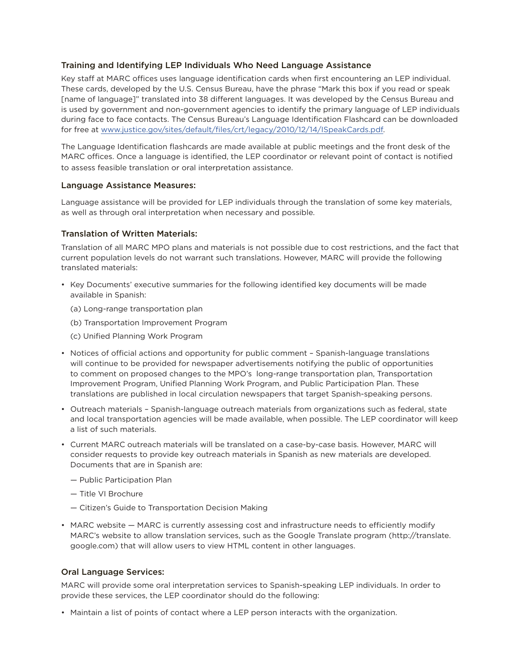#### Training and Identifying LEP Individuals Who Need Language Assistance

Key staff at MARC offices uses language identification cards when first encountering an LEP individual. These cards, developed by the U.S. Census Bureau, have the phrase "Mark this box if you read or speak [name of language]" translated into 38 different languages. It was developed by the Census Bureau and is used by government and non-government agencies to identify the primary language of LEP individuals during face to face contacts. The Census Bureau's Language Identification Flashcard can be downloaded for free at www.justice.gov/sites/default/files/crt/legacy/2010/12/14/ISpeakCards.pdf.

The Language Identification flashcards are made available at public meetings and the front desk of the MARC offices. Once a language is identified, the LEP coordinator or relevant point of contact is notified to assess feasible translation or oral interpretation assistance.

#### Language Assistance Measures:

Language assistance will be provided for LEP individuals through the translation of some key materials, as well as through oral interpretation when necessary and possible.

#### Translation of Written Materials:

Translation of all MARC MPO plans and materials is not possible due to cost restrictions, and the fact that current population levels do not warrant such translations. However, MARC will provide the following translated materials:

- Key Documents' executive summaries for the following identified key documents will be made available in Spanish:
	- (a) Long-range transportation plan
	- (b) Transportation Improvement Program
	- (c) Unified Planning Work Program
- Notices of official actions and opportunity for public comment Spanish-language translations will continue to be provided for newspaper advertisements notifying the public of opportunities to comment on proposed changes to the MPO's long-range transportation plan, Transportation Improvement Program, Unified Planning Work Program, and Public Participation Plan. These translations are published in local circulation newspapers that target Spanish-speaking persons.
- Outreach materials Spanish-language outreach materials from organizations such as federal, state and local transportation agencies will be made available, when possible. The LEP coordinator will keep a list of such materials.
- Current MARC outreach materials will be translated on a case-by-case basis. However, MARC will consider requests to provide key outreach materials in Spanish as new materials are developed. Documents that are in Spanish are:
	- Public Participation Plan
	- Title VI Brochure
	- Citizen's Guide to Transportation Decision Making
- MARC website MARC is currently assessing cost and infrastructure needs to efficiently modify MARC's website to allow translation services, such as the Google Translate program (http://translate. google.com) that will allow users to view HTML content in other languages.

#### Oral Language Services:

MARC will provide some oral interpretation services to Spanish-speaking LEP individuals. In order to provide these services, the LEP coordinator should do the following:

• Maintain a list of points of contact where a LEP person interacts with the organization.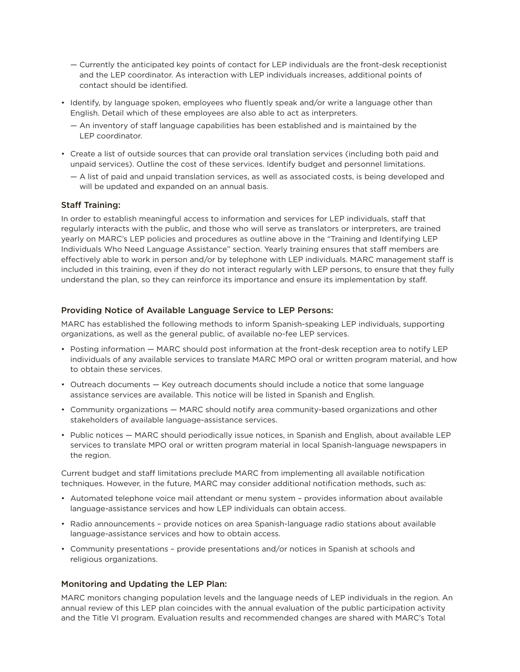- Currently the anticipated key points of contact for LEP individuals are the front-desk receptionist and the LEP coordinator. As interaction with LEP individuals increases, additional points of contact should be identified.
- Identify, by language spoken, employees who fluently speak and/or write a language other than English. Detail which of these employees are also able to act as interpreters.
	- An inventory of staff language capabilities has been established and is maintained by the LEP coordinator.
- Create a list of outside sources that can provide oral translation services (including both paid and unpaid services). Outline the cost of these services. Identify budget and personnel limitations.
	- A list of paid and unpaid translation services, as well as associated costs, is being developed and will be updated and expanded on an annual basis.

#### Staff Training:

In order to establish meaningful access to information and services for LEP individuals, staff that regularly interacts with the public, and those who will serve as translators or interpreters, are trained yearly on MARC's LEP policies and procedures as outline above in the "Training and Identifying LEP Individuals Who Need Language Assistance" section. Yearly training ensures that staff members are effectively able to work in person and/or by telephone with LEP individuals. MARC management staff is included in this training, even if they do not interact regularly with LEP persons, to ensure that they fully understand the plan, so they can reinforce its importance and ensure its implementation by staff.

#### Providing Notice of Available Language Service to LEP Persons:

MARC has established the following methods to inform Spanish-speaking LEP individuals, supporting organizations, as well as the general public, of available no-fee LEP services.

- Posting information MARC should post information at the front-desk reception area to notify LEP individuals of any available services to translate MARC MPO oral or written program material, and how to obtain these services.
- Outreach documents Key outreach documents should include a notice that some language assistance services are available. This notice will be listed in Spanish and English.
- Community organizations MARC should notify area community-based organizations and other stakeholders of available language-assistance services.
- Public notices MARC should periodically issue notices, in Spanish and English, about available LEP services to translate MPO oral or written program material in local Spanish-language newspapers in the region.

Current budget and staff limitations preclude MARC from implementing all available notification techniques. However, in the future, MARC may consider additional notification methods, such as:

- Automated telephone voice mail attendant or menu system provides information about available language-assistance services and how LEP individuals can obtain access.
- Radio announcements provide notices on area Spanish-language radio stations about available language-assistance services and how to obtain access.
- Community presentations provide presentations and/or notices in Spanish at schools and religious organizations.

#### Monitoring and Updating the LEP Plan:

MARC monitors changing population levels and the language needs of LEP individuals in the region. An annual review of this LEP plan coincides with the annual evaluation of the public participation activity and the Title VI program. Evaluation results and recommended changes are shared with MARC's Total